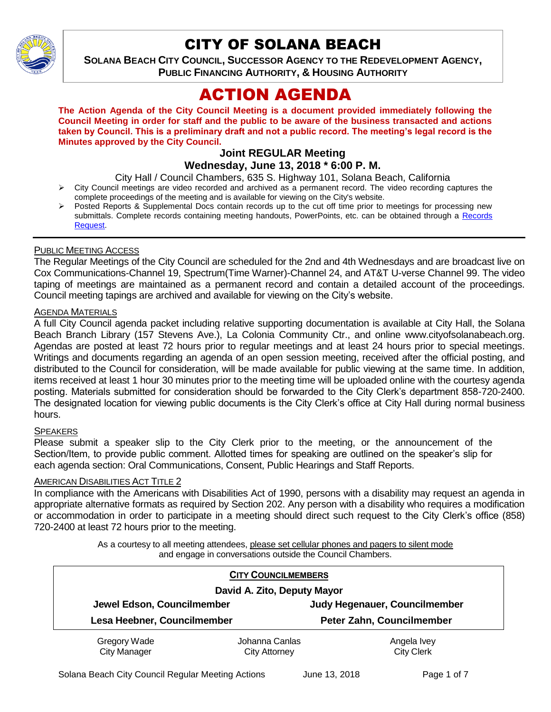

# CITY OF SOLANA BEACH

**SOLANA BEACH CITY COUNCIL, SUCCESSOR AGENCY TO THE REDEVELOPMENT AGENCY, PUBLIC FINANCING AUTHORITY, & HOUSING AUTHORITY** 

# ACTION AGENDA

**The Action Agenda of the City Council Meeting is a document provided immediately following the Council Meeting in order for staff and the public to be aware of the business transacted and actions taken by Council. This is a preliminary draft and not a public record. The meeting's legal record is the Minutes approved by the City Council.**

# **Joint REGULAR Meeting Wednesday, June 13, 2018 \* 6:00 P. M.**

City Hall / Council Chambers, 635 S. Highway 101, Solana Beach, California

- City Council meetings are video recorded and archived as a permanent record. The video recording captures the complete proceedings of the meeting and is available for viewing on the City's website.
- Posted Reports & Supplemental Docs contain records up to the cut off time prior to meetings for processing new submittals. Complete records containing meeting handouts, PowerPoints, etc. can be obtained through a Records [Request.](http://www.ci.solana-beach.ca.us/index.asp?SEC=F5D45D10-70CE-4291-A27C-7BD633FC6742&Type=B_BASIC)

## PUBLIC MEETING ACCESS

The Regular Meetings of the City Council are scheduled for the 2nd and 4th Wednesdays and are broadcast live on Cox Communications-Channel 19, Spectrum(Time Warner)-Channel 24, and AT&T U-verse Channel 99. The video taping of meetings are maintained as a permanent record and contain a detailed account of the proceedings. Council meeting tapings are archived and available for viewing on the City's website.

#### AGENDA MATERIALS

A full City Council agenda packet including relative supporting documentation is available at City Hall, the Solana Beach Branch Library (157 Stevens Ave.), La Colonia Community Ctr., and online www.cityofsolanabeach.org. Agendas are posted at least 72 hours prior to regular meetings and at least 24 hours prior to special meetings. Writings and documents regarding an agenda of an open session meeting, received after the official posting, and distributed to the Council for consideration, will be made available for public viewing at the same time. In addition, items received at least 1 hour 30 minutes prior to the meeting time will be uploaded online with the courtesy agenda posting. Materials submitted for consideration should be forwarded to the City Clerk's department 858-720-2400. The designated location for viewing public documents is the City Clerk's office at City Hall during normal business hours.

#### SPEAKERS

Please submit a speaker slip to the City Clerk prior to the meeting, or the announcement of the Section/Item, to provide public comment. Allotted times for speaking are outlined on the speaker's slip for each agenda section: Oral Communications, Consent, Public Hearings and Staff Reports.

#### AMERICAN DISABILITIES ACT TITLE 2

In compliance with the Americans with Disabilities Act of 1990, persons with a disability may request an agenda in appropriate alternative formats as required by Section 202. Any person with a disability who requires a modification or accommodation in order to participate in a meeting should direct such request to the City Clerk's office (858) 720-2400 at least 72 hours prior to the meeting.

> As a courtesy to all meeting attendees, please set cellular phones and pagers to silent mode and engage in conversations outside the Council Chambers.

|                                                           | <b>CITY COUNCILMEMBERS</b> |                               |  |
|-----------------------------------------------------------|----------------------------|-------------------------------|--|
| David A. Zito, Deputy Mayor                               |                            |                               |  |
| Jewel Edson, Councilmember<br>Lesa Heebner, Councilmember |                            | Judy Hegenauer, Councilmember |  |
|                                                           |                            | Peter Zahn, Councilmember     |  |
| Gregory Wade                                              | Johanna Canlas             | Angela Ivey                   |  |
| <b>City Manager</b>                                       | <b>City Attorney</b>       | <b>City Clerk</b>             |  |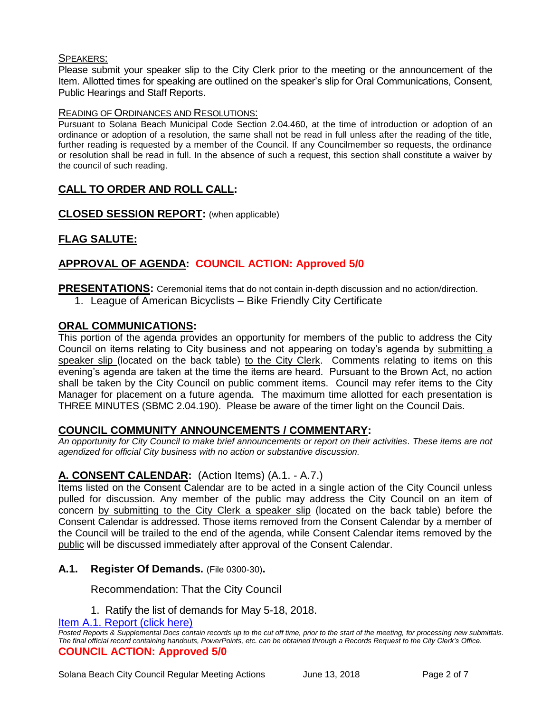## SPEAKERS:

Please submit your speaker slip to the City Clerk prior to the meeting or the announcement of the Item. Allotted times for speaking are outlined on the speaker's slip for Oral Communications, Consent, Public Hearings and Staff Reports.

#### READING OF ORDINANCES AND RESOLUTIONS:

Pursuant to Solana Beach Municipal Code Section 2.04.460, at the time of introduction or adoption of an ordinance or adoption of a resolution, the same shall not be read in full unless after the reading of the title, further reading is requested by a member of the Council. If any Councilmember so requests, the ordinance or resolution shall be read in full. In the absence of such a request, this section shall constitute a waiver by the council of such reading.

# **CALL TO ORDER AND ROLL CALL:**

**CLOSED SESSION REPORT:** (when applicable)

# **FLAG SALUTE:**

# **APPROVAL OF AGENDA: COUNCIL ACTION: Approved 5/0**

**PRESENTATIONS:** Ceremonial items that do not contain in-depth discussion and no action/direction.

1. League of American Bicyclists – Bike Friendly City Certificate

## **ORAL COMMUNICATIONS:**

This portion of the agenda provides an opportunity for members of the public to address the City Council on items relating to City business and not appearing on today's agenda by submitting a speaker slip (located on the back table) to the City Clerk. Comments relating to items on this evening's agenda are taken at the time the items are heard. Pursuant to the Brown Act, no action shall be taken by the City Council on public comment items. Council may refer items to the City Manager for placement on a future agenda. The maximum time allotted for each presentation is THREE MINUTES (SBMC 2.04.190). Please be aware of the timer light on the Council Dais.

#### **COUNCIL COMMUNITY ANNOUNCEMENTS / COMMENTARY:**

*An opportunity for City Council to make brief announcements or report on their activities. These items are not agendized for official City business with no action or substantive discussion.* 

# **A. CONSENT CALENDAR:** (Action Items) (A.1. - A.7.)

Items listed on the Consent Calendar are to be acted in a single action of the City Council unless pulled for discussion. Any member of the public may address the City Council on an item of concern by submitting to the City Clerk a speaker slip (located on the back table) before the Consent Calendar is addressed. Those items removed from the Consent Calendar by a member of the Council will be trailed to the end of the agenda, while Consent Calendar items removed by the public will be discussed immediately after approval of the Consent Calendar.

#### **A.1. Register Of Demands.** (File 0300-30)**.**

Recommendation: That the City Council

1. Ratify the list of demands for May 5-18, 2018.

[Item A.1. Report \(click here\)](https://solanabeach.govoffice3.com/vertical/Sites/%7B840804C2-F869-4904-9AE3-720581350CE7%7D/uploads/Item_A.1._Report_(click_here)_6-13-18.PDF)

*Posted Reports & Supplemental Docs contain records up to the cut off time, prior to the start of the meeting, for processing new submittals. The final official record containing handouts, PowerPoints, etc. can be obtained through a Records Request to the City Clerk's Office.* **COUNCIL ACTION: Approved 5/0**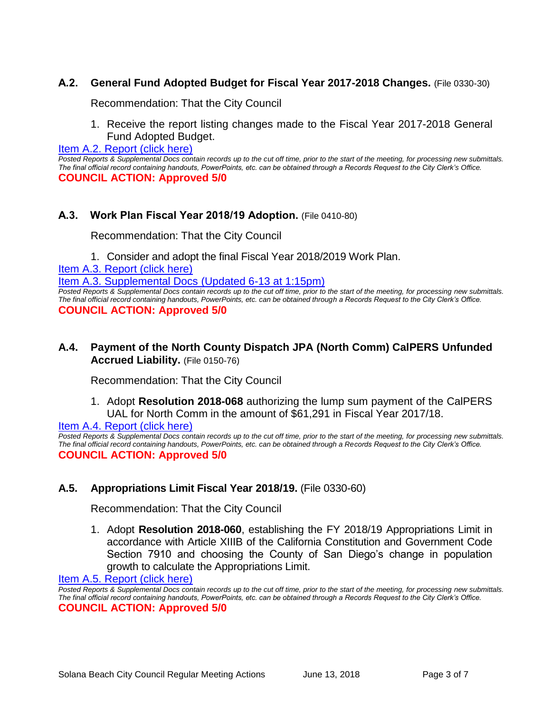# **A.2. General Fund Adopted Budget for Fiscal Year 2017-2018 Changes.** (File 0330-30)

Recommendation: That the City Council

1. Receive the report listing changes made to the Fiscal Year 2017-2018 General Fund Adopted Budget.

[Item A.2. Report \(click here\)](https://solanabeach.govoffice3.com/vertical/Sites/%7B840804C2-F869-4904-9AE3-720581350CE7%7D/uploads/Item_A.2._Report_(click_here)_6-13-18.PDF)

*Posted Reports & Supplemental Docs contain records up to the cut off time, prior to the start of the meeting, for processing new submittals. The final official record containing handouts, PowerPoints, etc. can be obtained through a Records Request to the City Clerk's Office.* **COUNCIL ACTION: Approved 5/0**

# **A.3. Work Plan Fiscal Year 2018/19 Adoption.** (File 0410-80)

Recommendation: That the City Council

1. Consider and adopt the final Fiscal Year 2018/2019 Work Plan.

[Item A.3. Report \(click here\)](https://solanabeach.govoffice3.com/vertical/Sites/%7B840804C2-F869-4904-9AE3-720581350CE7%7D/uploads/Item_A.3._Report_(click_here)_6-13-18.pdf)

[Item A.3. Supplemental Docs](https://solanabeach.govoffice3.com/vertical/Sites/%7B840804C2-F869-4904-9AE3-720581350CE7%7D/uploads/A.3._Supplemental_Docs_(updated_6-13_at_115pm).pdf) (Updated 6-13 at 1:15pm)

*Posted Reports & Supplemental Docs contain records up to the cut off time, prior to the start of the meeting, for processing new submittals. The final official record containing handouts, PowerPoints, etc. can be obtained through a Records Request to the City Clerk's Office.* **COUNCIL ACTION: Approved 5/0**

## **A.4. Payment of the North County Dispatch JPA (North Comm) CalPERS Unfunded Accrued Liability.** (File 0150-76)

Recommendation: That the City Council

1. Adopt **Resolution 2018-068** authorizing the lump sum payment of the CalPERS UAL for North Comm in the amount of \$61,291 in Fiscal Year 2017/18.

[Item A.4. Report \(click here\)](https://solanabeach.govoffice3.com/vertical/Sites/%7B840804C2-F869-4904-9AE3-720581350CE7%7D/uploads/Item_A.4._Report_(click_here)_6-13-18.pdf)

*Posted Reports & Supplemental Docs contain records up to the cut off time, prior to the start of the meeting, for processing new submittals. The final official record containing handouts, PowerPoints, etc. can be obtained through a Records Request to the City Clerk's Office.* **COUNCIL ACTION: Approved 5/0**

# **A.5. Appropriations Limit Fiscal Year 2018/19.** (File 0330-60)

Recommendation: That the City Council

1. Adopt **Resolution 2018-060**, establishing the FY 2018/19 Appropriations Limit in accordance with Article XIIIB of the California Constitution and Government Code Section 7910 and choosing the County of San Diego's change in population growth to calculate the Appropriations Limit.

[Item A.5. Report \(click here\)](https://solanabeach.govoffice3.com/vertical/Sites/%7B840804C2-F869-4904-9AE3-720581350CE7%7D/uploads/Item_A.5._Report_(click_here)_6-13-18.PDF)

*Posted Reports & Supplemental Docs contain records up to the cut off time, prior to the start of the meeting, for processing new submittals. The final official record containing handouts, PowerPoints, etc. can be obtained through a Records Request to the City Clerk's Office.* **COUNCIL ACTION: Approved 5/0**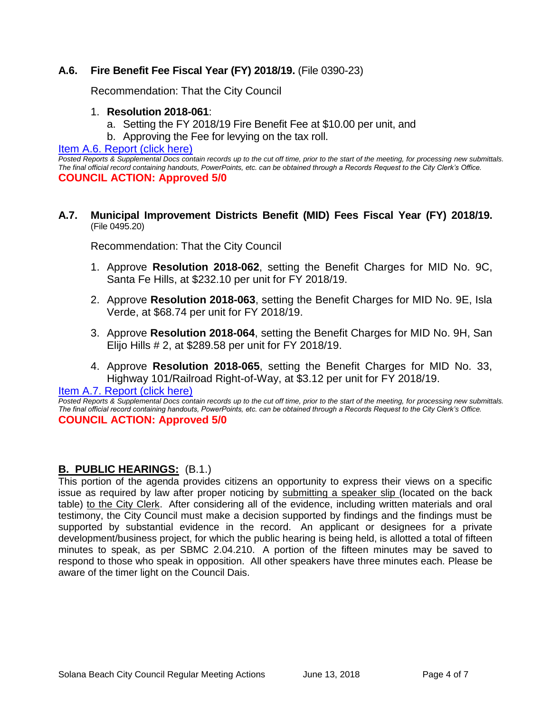# **A.6. Fire Benefit Fee Fiscal Year (FY) 2018/19.** (File 0390-23)

Recommendation: That the City Council

#### 1. **Resolution 2018-061**:

- a. Setting the FY 2018/19 Fire Benefit Fee at \$10.00 per unit, and
- b. Approving the Fee for levying on the tax roll.

#### [Item A.6. Report \(click here\)](https://solanabeach.govoffice3.com/vertical/Sites/%7B840804C2-F869-4904-9AE3-720581350CE7%7D/uploads/Item_A.6._Report_(click_here)_6-13-18.PDF)

*Posted Reports & Supplemental Docs contain records up to the cut off time, prior to the start of the meeting, for processing new submittals. The final official record containing handouts, PowerPoints, etc. can be obtained through a Records Request to the City Clerk's Office.* **COUNCIL ACTION: Approved 5/0**

#### **A.7. Municipal Improvement Districts Benefit (MID) Fees Fiscal Year (FY) 2018/19.** (File 0495.20)

Recommendation: That the City Council

- 1. Approve **Resolution 2018-062**, setting the Benefit Charges for MID No. 9C, Santa Fe Hills, at \$232.10 per unit for FY 2018/19.
- 2. Approve **Resolution 2018-063**, setting the Benefit Charges for MID No. 9E, Isla Verde, at \$68.74 per unit for FY 2018/19.
- 3. Approve **Resolution 2018-064**, setting the Benefit Charges for MID No. 9H, San Elijo Hills # 2, at \$289.58 per unit for FY 2018/19.
- 4. Approve **Resolution 2018-065**, setting the Benefit Charges for MID No. 33, Highway 101/Railroad Right-of-Way, at \$3.12 per unit for FY 2018/19.

#### [Item A.7. Report \(click here\)](https://solanabeach.govoffice3.com/vertical/Sites/%7B840804C2-F869-4904-9AE3-720581350CE7%7D/uploads/Item_A.7._Report_(click_here)_6-13-18.PDF)

*Posted Reports & Supplemental Docs contain records up to the cut off time, prior to the start of the meeting, for processing new submittals. The final official record containing handouts, PowerPoints, etc. can be obtained through a Records Request to the City Clerk's Office.* **COUNCIL ACTION: Approved 5/0**

# **B. PUBLIC HEARINGS:** (B.1.)

This portion of the agenda provides citizens an opportunity to express their views on a specific issue as required by law after proper noticing by submitting a speaker slip (located on the back table) to the City Clerk. After considering all of the evidence, including written materials and oral testimony, the City Council must make a decision supported by findings and the findings must be supported by substantial evidence in the record. An applicant or designees for a private development/business project, for which the public hearing is being held, is allotted a total of fifteen minutes to speak, as per SBMC 2.04.210. A portion of the fifteen minutes may be saved to respond to those who speak in opposition. All other speakers have three minutes each. Please be aware of the timer light on the Council Dais.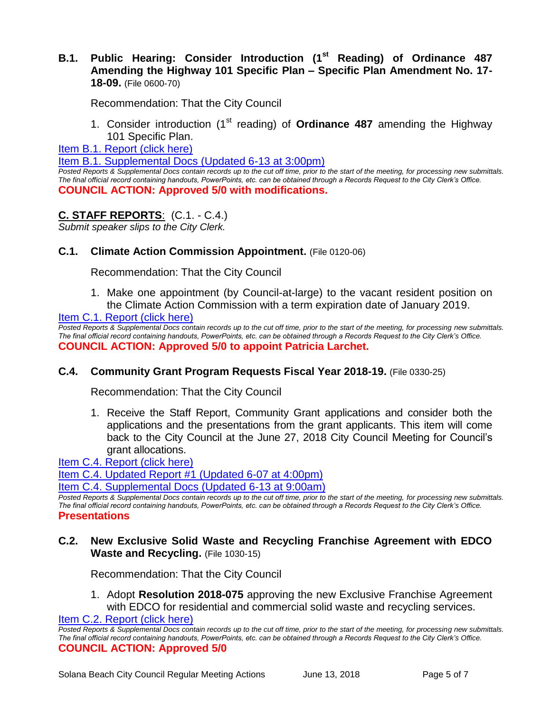## **B.1. Public Hearing: Consider Introduction (1st Reading) of Ordinance 487 Amending the Highway 101 Specific Plan – Specific Plan Amendment No. 17- 18-09.** (File 0600-70)

Recommendation: That the City Council

1. Consider introduction (1st reading) of **Ordinance 487** amending the Highway 101 Specific Plan.

[Item B.1. Report \(click here\)](https://solanabeach.govoffice3.com/vertical/Sites/%7B840804C2-F869-4904-9AE3-720581350CE7%7D/uploads/Item_B.1._Report_(click_here)_6-13-18.PDF)

[Item B.1. Supplemental Docs \(Updated 6-13 at 3:00pm\)](https://solanabeach.govoffice3.com/vertical/Sites/%7B840804C2-F869-4904-9AE3-720581350CE7%7D/uploads/B.1._Supplemental_Docs_(Updated_6-13_at_300pm).pdf)

*Posted Reports & Supplemental Docs contain records up to the cut off time, prior to the start of the meeting, for processing new submittals. The final official record containing handouts, PowerPoints, etc. can be obtained through a Records Request to the City Clerk's Office.* **COUNCIL ACTION: Approved 5/0 with modifications.** 

## **C. STAFF REPORTS**: (C.1. - C.4.)

*Submit speaker slips to the City Clerk.*

## **C.1. Climate Action Commission Appointment.** (File 0120-06)

Recommendation: That the City Council

1. Make one appointment (by Council-at-large) to the vacant resident position on the Climate Action Commission with a term expiration date of January 2019.

[Item C.1. Report \(click here\)](https://solanabeach.govoffice3.com/vertical/Sites/%7B840804C2-F869-4904-9AE3-720581350CE7%7D/uploads/Item_C.1._Report_(click_here)_6-13-18.PDF)

*Posted Reports & Supplemental Docs contain records up to the cut off time, prior to the start of the meeting, for processing new submittals. The final official record containing handouts, PowerPoints, etc. can be obtained through a Records Request to the City Clerk's Office.* **COUNCIL ACTION: Approved 5/0 to appoint Patricia Larchet.**

#### **C.4. Community Grant Program Requests Fiscal Year 2018-19.** (File 0330-25)

Recommendation: That the City Council

1. Receive the Staff Report, Community Grant applications and consider both the applications and the presentations from the grant applicants. This item will come back to the City Council at the June 27, 2018 City Council Meeting for Council's grant allocations.

[Item C.4. Report \(click here\)](https://solanabeach.govoffice3.com/vertical/Sites/%7B840804C2-F869-4904-9AE3-720581350CE7%7D/uploads/Item_C.4._Report_(click_here)_6-13-18.PDF)

[Item C.4. Updated Report #1 \(Updated 6-07 at 4:00pm\)](https://solanabeach.govoffice3.com/vertical/Sites/%7B840804C2-F869-4904-9AE3-720581350CE7%7D/uploads/C.4._Updated_Report_1_-_6-13-18.pdf)

[Item C.4. Supplemental Docs \(Updated 6-13](https://solanabeach.govoffice3.com/vertical/Sites/%7B840804C2-F869-4904-9AE3-720581350CE7%7D/uploads/C.4._Supplemental_Docs_(updated_6-13_9am).pdf) at 9:00am)

*Posted Reports & Supplemental Docs contain records up to the cut off time, prior to the start of the meeting, for processing new submittals. The final official record containing handouts, PowerPoints, etc. can be obtained through a Records Request to the City Clerk's Office.* **Presentations**

# **C.2. New Exclusive Solid Waste and Recycling Franchise Agreement with EDCO Waste and Recycling.** (File 1030-15)

Recommendation: That the City Council

1. Adopt **Resolution 2018-075** approving the new Exclusive Franchise Agreement with EDCO for residential and commercial solid waste and recycling services.

[Item C.2. Report \(click here\)](https://solanabeach.govoffice3.com/vertical/Sites/%7B840804C2-F869-4904-9AE3-720581350CE7%7D/uploads/Item_C.2._Report_(click_here)_6-13-18.PDF)

*Posted Reports & Supplemental Docs contain records up to the cut off time, prior to the start of the meeting, for processing new submittals. The final official record containing handouts, PowerPoints, etc. can be obtained through a Records Request to the City Clerk's Office.* **COUNCIL ACTION: Approved 5/0**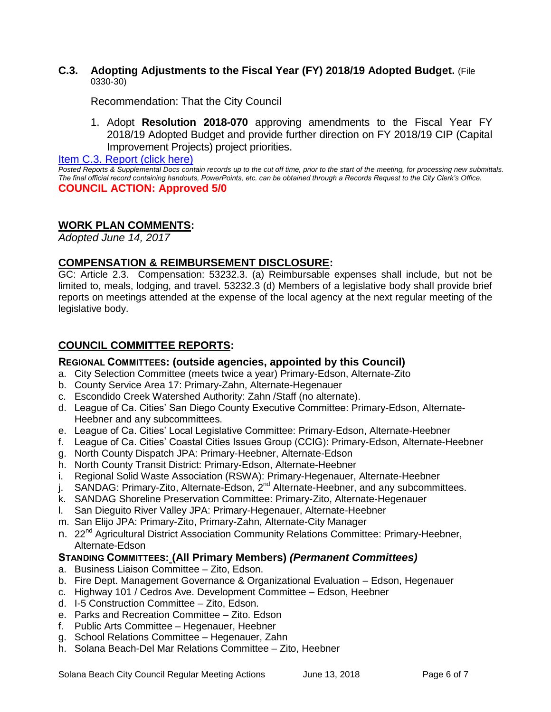#### **C.3. Adopting Adjustments to the Fiscal Year (FY) 2018/19 Adopted Budget.** (File 0330-30)

Recommendation: That the City Council

1. Adopt **Resolution 2018-070** approving amendments to the Fiscal Year FY 2018/19 Adopted Budget and provide further direction on FY 2018/19 CIP (Capital Improvement Projects) project priorities.

[Item C.3. Report \(click here\)](https://solanabeach.govoffice3.com/vertical/Sites/%7B840804C2-F869-4904-9AE3-720581350CE7%7D/uploads/Item_C.3._Report_(click_here)_6-13-18.PDF)

*Posted Reports & Supplemental Docs contain records up to the cut off time, prior to the start of the meeting, for processing new submittals. The final official record containing handouts, PowerPoints, etc. can be obtained through a Records Request to the City Clerk's Office.* **COUNCIL ACTION: Approved 5/0**

# **WORK PLAN COMMENTS:**

*Adopted June 14, 2017*

# **COMPENSATION & REIMBURSEMENT DISCLOSURE:**

GC: Article 2.3. Compensation: 53232.3. (a) Reimbursable expenses shall include, but not be limited to, meals, lodging, and travel. 53232.3 (d) Members of a legislative body shall provide brief reports on meetings attended at the expense of the local agency at the next regular meeting of the legislative body.

# **COUNCIL COMMITTEE REPORTS:**

## **REGIONAL COMMITTEES: (outside agencies, appointed by this Council)**

- a. City Selection Committee (meets twice a year) Primary-Edson, Alternate-Zito
- b. County Service Area 17: Primary-Zahn, Alternate-Hegenauer
- c. Escondido Creek Watershed Authority: Zahn /Staff (no alternate).
- d. League of Ca. Cities' San Diego County Executive Committee: Primary-Edson, Alternate-Heebner and any subcommittees.
- e. League of Ca. Cities' Local Legislative Committee: Primary-Edson, Alternate-Heebner
- f. League of Ca. Cities' Coastal Cities Issues Group (CCIG): Primary-Edson, Alternate-Heebner
- g. North County Dispatch JPA: Primary-Heebner, Alternate-Edson
- h. North County Transit District: Primary-Edson, Alternate-Heebner
- i. Regional Solid Waste Association (RSWA): Primary-Hegenauer, Alternate-Heebner
- j. SANDAG: Primary-Zito, Alternate-Edson,  $2^{nd}$  Alternate-Heebner, and any subcommittees.
- k. SANDAG Shoreline Preservation Committee: Primary-Zito, Alternate-Hegenauer
- l. San Dieguito River Valley JPA: Primary-Hegenauer, Alternate-Heebner
- m. San Elijo JPA: Primary-Zito, Primary-Zahn, Alternate-City Manager
- n. 22<sup>nd</sup> Agricultural District Association Community Relations Committee: Primary-Heebner, Alternate-Edson

#### **STANDING COMMITTEES: (All Primary Members)** *(Permanent Committees)*

- a. Business Liaison Committee Zito, Edson.
- b. Fire Dept. Management Governance & Organizational Evaluation Edson, Hegenauer
- c. Highway 101 / Cedros Ave. Development Committee Edson, Heebner
- d. I-5 Construction Committee Zito, Edson.
- e. Parks and Recreation Committee Zito. Edson
- f. Public Arts Committee Hegenauer, Heebner
- g. School Relations Committee Hegenauer, Zahn
- h. Solana Beach-Del Mar Relations Committee Zito, Heebner